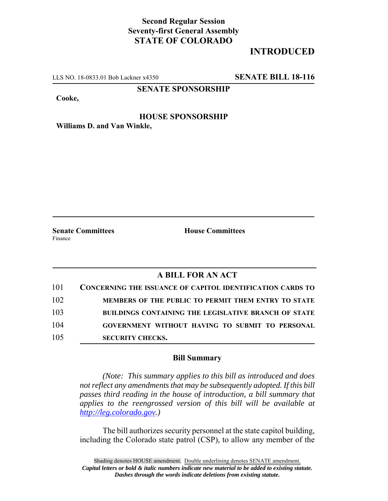## **Second Regular Session Seventy-first General Assembly STATE OF COLORADO**

## **INTRODUCED**

LLS NO. 18-0833.01 Bob Lackner x4350 **SENATE BILL 18-116**

### **SENATE SPONSORSHIP**

**Cooke,**

# **HOUSE SPONSORSHIP**

**Williams D. and Van Winkle,**

Finance

**Senate Committees House Committees** 

### **A BILL FOR AN ACT**

| 101 | <b>CONCERNING THE ISSUANCE OF CAPITOL IDENTIFICATION CARDS TO</b> |
|-----|-------------------------------------------------------------------|
| 102 | MEMBERS OF THE PUBLIC TO PERMIT THEM ENTRY TO STATE               |
| 103 | <b>BUILDINGS CONTAINING THE LEGISLATIVE BRANCH OF STATE</b>       |
| 104 | GOVERNMENT WITHOUT HAVING TO SUBMIT TO PERSONAL                   |
| 105 | <b>SECURITY CHECKS.</b>                                           |

#### **Bill Summary**

*(Note: This summary applies to this bill as introduced and does not reflect any amendments that may be subsequently adopted. If this bill passes third reading in the house of introduction, a bill summary that applies to the reengrossed version of this bill will be available at http://leg.colorado.gov.)*

The bill authorizes security personnel at the state capitol building, including the Colorado state patrol (CSP), to allow any member of the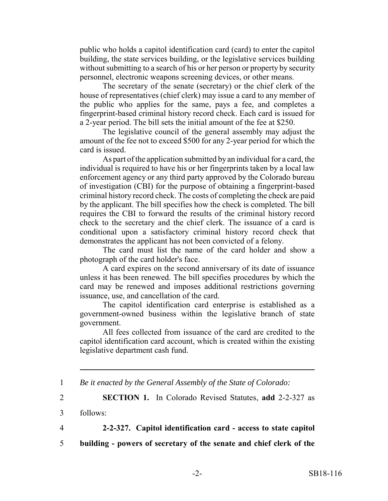public who holds a capitol identification card (card) to enter the capitol building, the state services building, or the legislative services building without submitting to a search of his or her person or property by security personnel, electronic weapons screening devices, or other means.

The secretary of the senate (secretary) or the chief clerk of the house of representatives (chief clerk) may issue a card to any member of the public who applies for the same, pays a fee, and completes a fingerprint-based criminal history record check. Each card is issued for a 2-year period. The bill sets the initial amount of the fee at \$250.

The legislative council of the general assembly may adjust the amount of the fee not to exceed \$500 for any 2-year period for which the card is issued.

As part of the application submitted by an individual for a card, the individual is required to have his or her fingerprints taken by a local law enforcement agency or any third party approved by the Colorado bureau of investigation (CBI) for the purpose of obtaining a fingerprint-based criminal history record check. The costs of completing the check are paid by the applicant. The bill specifies how the check is completed. The bill requires the CBI to forward the results of the criminal history record check to the secretary and the chief clerk. The issuance of a card is conditional upon a satisfactory criminal history record check that demonstrates the applicant has not been convicted of a felony.

The card must list the name of the card holder and show a photograph of the card holder's face.

A card expires on the second anniversary of its date of issuance unless it has been renewed. The bill specifies procedures by which the card may be renewed and imposes additional restrictions governing issuance, use, and cancellation of the card.

The capitol identification card enterprise is established as a government-owned business within the legislative branch of state government.

All fees collected from issuance of the card are credited to the capitol identification card account, which is created within the existing legislative department cash fund.

1 *Be it enacted by the General Assembly of the State of Colorado:*

2 **SECTION 1.** In Colorado Revised Statutes, **add** 2-2-327 as

3 follows:

4 **2-2-327. Capitol identification card - access to state capitol**

5 **building - powers of secretary of the senate and chief clerk of the**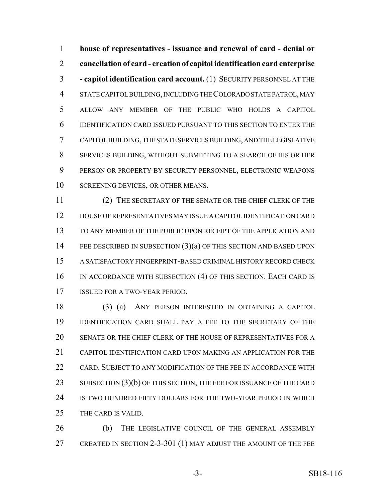**house of representatives - issuance and renewal of card - denial or cancellation of card - creation of capitol identification card enterprise - capitol identification card account.** (1) SECURITY PERSONNEL AT THE STATE CAPITOL BUILDING, INCLUDING THE COLORADO STATE PATROL, MAY ALLOW ANY MEMBER OF THE PUBLIC WHO HOLDS A CAPITOL IDENTIFICATION CARD ISSUED PURSUANT TO THIS SECTION TO ENTER THE CAPITOL BUILDING, THE STATE SERVICES BUILDING, AND THE LEGISLATIVE SERVICES BUILDING, WITHOUT SUBMITTING TO A SEARCH OF HIS OR HER PERSON OR PROPERTY BY SECURITY PERSONNEL, ELECTRONIC WEAPONS SCREENING DEVICES, OR OTHER MEANS.

 (2) THE SECRETARY OF THE SENATE OR THE CHIEF CLERK OF THE HOUSE OF REPRESENTATIVES MAY ISSUE A CAPITOL IDENTIFICATION CARD TO ANY MEMBER OF THE PUBLIC UPON RECEIPT OF THE APPLICATION AND FEE DESCRIBED IN SUBSECTION (3)(a) OF THIS SECTION AND BASED UPON A SATISFACTORY FINGERPRINT-BASED CRIMINAL HISTORY RECORD CHECK 16 IN ACCORDANCE WITH SUBSECTION (4) OF THIS SECTION. EACH CARD IS ISSUED FOR A TWO-YEAR PERIOD.

 (3) (a) ANY PERSON INTERESTED IN OBTAINING A CAPITOL IDENTIFICATION CARD SHALL PAY A FEE TO THE SECRETARY OF THE SENATE OR THE CHIEF CLERK OF THE HOUSE OF REPRESENTATIVES FOR A CAPITOL IDENTIFICATION CARD UPON MAKING AN APPLICATION FOR THE CARD. SUBJECT TO ANY MODIFICATION OF THE FEE IN ACCORDANCE WITH 23 SUBSECTION (3)(b) OF THIS SECTION, THE FEE FOR ISSUANCE OF THE CARD IS TWO HUNDRED FIFTY DOLLARS FOR THE TWO-YEAR PERIOD IN WHICH THE CARD IS VALID.

 (b) THE LEGISLATIVE COUNCIL OF THE GENERAL ASSEMBLY CREATED IN SECTION 2-3-301 (1) MAY ADJUST THE AMOUNT OF THE FEE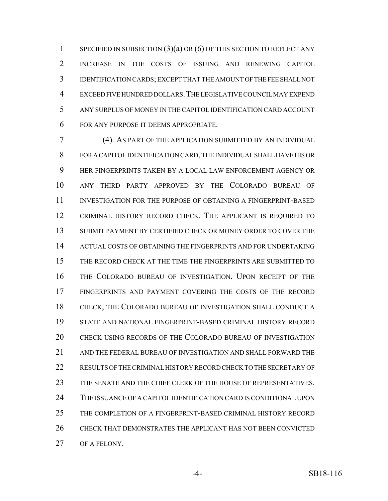1 SPECIFIED IN SUBSECTION  $(3)(a)$  OR  $(6)$  OF THIS SECTION TO REFLECT ANY INCREASE IN THE COSTS OF ISSUING AND RENEWING CAPITOL IDENTIFICATION CARDS; EXCEPT THAT THE AMOUNT OF THE FEE SHALL NOT EXCEED FIVE HUNDRED DOLLARS.THE LEGISLATIVE COUNCIL MAY EXPEND ANY SURPLUS OF MONEY IN THE CAPITOL IDENTIFICATION CARD ACCOUNT FOR ANY PURPOSE IT DEEMS APPROPRIATE.

 (4) AS PART OF THE APPLICATION SUBMITTED BY AN INDIVIDUAL FOR A CAPITOL IDENTIFICATION CARD, THE INDIVIDUAL SHALL HAVE HIS OR HER FINGERPRINTS TAKEN BY A LOCAL LAW ENFORCEMENT AGENCY OR ANY THIRD PARTY APPROVED BY THE COLORADO BUREAU OF INVESTIGATION FOR THE PURPOSE OF OBTAINING A FINGERPRINT-BASED CRIMINAL HISTORY RECORD CHECK. THE APPLICANT IS REQUIRED TO SUBMIT PAYMENT BY CERTIFIED CHECK OR MONEY ORDER TO COVER THE ACTUAL COSTS OF OBTAINING THE FINGERPRINTS AND FOR UNDERTAKING THE RECORD CHECK AT THE TIME THE FINGERPRINTS ARE SUBMITTED TO THE COLORADO BUREAU OF INVESTIGATION. UPON RECEIPT OF THE FINGERPRINTS AND PAYMENT COVERING THE COSTS OF THE RECORD CHECK, THE COLORADO BUREAU OF INVESTIGATION SHALL CONDUCT A STATE AND NATIONAL FINGERPRINT-BASED CRIMINAL HISTORY RECORD CHECK USING RECORDS OF THE COLORADO BUREAU OF INVESTIGATION AND THE FEDERAL BUREAU OF INVESTIGATION AND SHALL FORWARD THE RESULTS OF THE CRIMINAL HISTORY RECORD CHECK TO THE SECRETARY OF THE SENATE AND THE CHIEF CLERK OF THE HOUSE OF REPRESENTATIVES. THE ISSUANCE OF A CAPITOL IDENTIFICATION CARD IS CONDITIONAL UPON THE COMPLETION OF A FINGERPRINT-BASED CRIMINAL HISTORY RECORD CHECK THAT DEMONSTRATES THE APPLICANT HAS NOT BEEN CONVICTED OF A FELONY.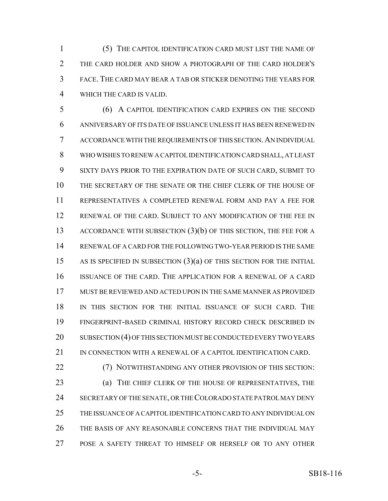(5) THE CAPITOL IDENTIFICATION CARD MUST LIST THE NAME OF THE CARD HOLDER AND SHOW A PHOTOGRAPH OF THE CARD HOLDER'S FACE. THE CARD MAY BEAR A TAB OR STICKER DENOTING THE YEARS FOR WHICH THE CARD IS VALID.

 (6) A CAPITOL IDENTIFICATION CARD EXPIRES ON THE SECOND ANNIVERSARY OF ITS DATE OF ISSUANCE UNLESS IT HAS BEEN RENEWED IN ACCORDANCE WITH THE REQUIREMENTS OF THIS SECTION.AN INDIVIDUAL WHO WISHES TO RENEW A CAPITOL IDENTIFICATION CARD SHALL, AT LEAST SIXTY DAYS PRIOR TO THE EXPIRATION DATE OF SUCH CARD, SUBMIT TO THE SECRETARY OF THE SENATE OR THE CHIEF CLERK OF THE HOUSE OF REPRESENTATIVES A COMPLETED RENEWAL FORM AND PAY A FEE FOR RENEWAL OF THE CARD. SUBJECT TO ANY MODIFICATION OF THE FEE IN 13 ACCORDANCE WITH SUBSECTION (3)(b) OF THIS SECTION, THE FEE FOR A RENEWAL OF A CARD FOR THE FOLLOWING TWO-YEAR PERIOD IS THE SAME AS IS SPECIFIED IN SUBSECTION (3)(a) OF THIS SECTION FOR THE INITIAL ISSUANCE OF THE CARD. THE APPLICATION FOR A RENEWAL OF A CARD MUST BE REVIEWED AND ACTED UPON IN THE SAME MANNER AS PROVIDED IN THIS SECTION FOR THE INITIAL ISSUANCE OF SUCH CARD. THE FINGERPRINT-BASED CRIMINAL HISTORY RECORD CHECK DESCRIBED IN SUBSECTION (4) OF THIS SECTION MUST BE CONDUCTED EVERY TWO YEARS IN CONNECTION WITH A RENEWAL OF A CAPITOL IDENTIFICATION CARD.

 (7) NOTWITHSTANDING ANY OTHER PROVISION OF THIS SECTION: (a) THE CHIEF CLERK OF THE HOUSE OF REPRESENTATIVES, THE SECRETARY OF THE SENATE, OR THE COLORADO STATE PATROL MAY DENY THE ISSUANCE OF A CAPITOL IDENTIFICATION CARD TO ANY INDIVIDUAL ON THE BASIS OF ANY REASONABLE CONCERNS THAT THE INDIVIDUAL MAY POSE A SAFETY THREAT TO HIMSELF OR HERSELF OR TO ANY OTHER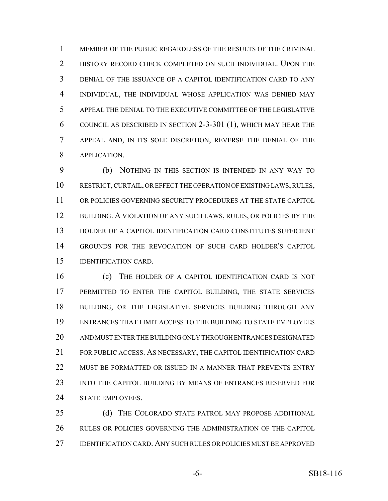MEMBER OF THE PUBLIC REGARDLESS OF THE RESULTS OF THE CRIMINAL 2 HISTORY RECORD CHECK COMPLETED ON SUCH INDIVIDUAL. UPON THE DENIAL OF THE ISSUANCE OF A CAPITOL IDENTIFICATION CARD TO ANY INDIVIDUAL, THE INDIVIDUAL WHOSE APPLICATION WAS DENIED MAY APPEAL THE DENIAL TO THE EXECUTIVE COMMITTEE OF THE LEGISLATIVE COUNCIL AS DESCRIBED IN SECTION 2-3-301 (1), WHICH MAY HEAR THE APPEAL AND, IN ITS SOLE DISCRETION, REVERSE THE DENIAL OF THE APPLICATION.

 (b) NOTHING IN THIS SECTION IS INTENDED IN ANY WAY TO RESTRICT, CURTAIL, OR EFFECT THE OPERATION OF EXISTING LAWS, RULES, OR POLICIES GOVERNING SECURITY PROCEDURES AT THE STATE CAPITOL 12 BUILDING. A VIOLATION OF ANY SUCH LAWS, RULES, OR POLICIES BY THE HOLDER OF A CAPITOL IDENTIFICATION CARD CONSTITUTES SUFFICIENT GROUNDS FOR THE REVOCATION OF SUCH CARD HOLDER'S CAPITOL IDENTIFICATION CARD.

 (c) THE HOLDER OF A CAPITOL IDENTIFICATION CARD IS NOT PERMITTED TO ENTER THE CAPITOL BUILDING, THE STATE SERVICES BUILDING, OR THE LEGISLATIVE SERVICES BUILDING THROUGH ANY ENTRANCES THAT LIMIT ACCESS TO THE BUILDING TO STATE EMPLOYEES AND MUST ENTER THE BUILDING ONLY THROUGH ENTRANCES DESIGNATED FOR PUBLIC ACCESS. AS NECESSARY, THE CAPITOL IDENTIFICATION CARD 22 MUST BE FORMATTED OR ISSUED IN A MANNER THAT PREVENTS ENTRY INTO THE CAPITOL BUILDING BY MEANS OF ENTRANCES RESERVED FOR STATE EMPLOYEES.

 (d) THE COLORADO STATE PATROL MAY PROPOSE ADDITIONAL RULES OR POLICIES GOVERNING THE ADMINISTRATION OF THE CAPITOL IDENTIFICATION CARD. ANY SUCH RULES OR POLICIES MUST BE APPROVED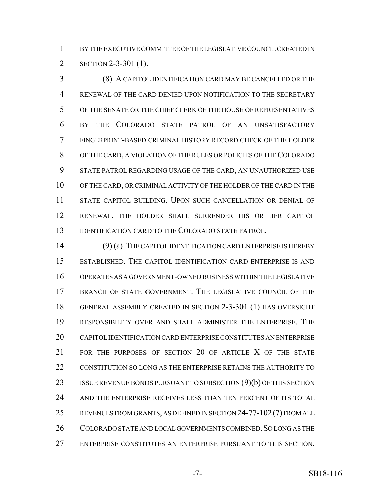BY THE EXECUTIVE COMMITTEE OF THE LEGISLATIVE COUNCIL CREATED IN SECTION 2-3-301 (1).

 (8) A CAPITOL IDENTIFICATION CARD MAY BE CANCELLED OR THE RENEWAL OF THE CARD DENIED UPON NOTIFICATION TO THE SECRETARY OF THE SENATE OR THE CHIEF CLERK OF THE HOUSE OF REPRESENTATIVES BY THE COLORADO STATE PATROL OF AN UNSATISFACTORY FINGERPRINT-BASED CRIMINAL HISTORY RECORD CHECK OF THE HOLDER OF THE CARD, A VIOLATION OF THE RULES OR POLICIES OF THE COLORADO STATE PATROL REGARDING USAGE OF THE CARD, AN UNAUTHORIZED USE OF THE CARD, OR CRIMINAL ACTIVITY OF THE HOLDER OF THE CARD IN THE STATE CAPITOL BUILDING. UPON SUCH CANCELLATION OR DENIAL OF RENEWAL, THE HOLDER SHALL SURRENDER HIS OR HER CAPITOL 13 IDENTIFICATION CARD TO THE COLORADO STATE PATROL.

 (9) (a) THE CAPITOL IDENTIFICATION CARD ENTERPRISE IS HEREBY ESTABLISHED. THE CAPITOL IDENTIFICATION CARD ENTERPRISE IS AND OPERATES AS A GOVERNMENT-OWNED BUSINESS WITHIN THE LEGISLATIVE BRANCH OF STATE GOVERNMENT. THE LEGISLATIVE COUNCIL OF THE GENERAL ASSEMBLY CREATED IN SECTION 2-3-301 (1) HAS OVERSIGHT RESPONSIBILITY OVER AND SHALL ADMINISTER THE ENTERPRISE. THE CAPITOL IDENTIFICATION CARD ENTERPRISE CONSTITUTES AN ENTERPRISE FOR THE PURPOSES OF SECTION 20 OF ARTICLE X OF THE STATE CONSTITUTION SO LONG AS THE ENTERPRISE RETAINS THE AUTHORITY TO 23 ISSUE REVENUE BONDS PURSUANT TO SUBSECTION (9)(b) OF THIS SECTION AND THE ENTERPRISE RECEIVES LESS THAN TEN PERCENT OF ITS TOTAL REVENUES FROM GRANTS, AS DEFINED IN SECTION 24-77-102(7) FROM ALL 26 COLORADO STATE AND LOCAL GOVERNMENTS COMBINED. SO LONG AS THE ENTERPRISE CONSTITUTES AN ENTERPRISE PURSUANT TO THIS SECTION,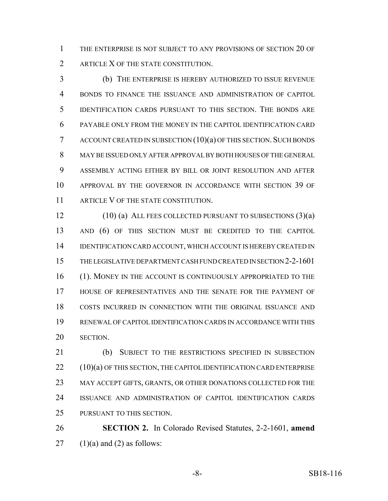THE ENTERPRISE IS NOT SUBJECT TO ANY PROVISIONS OF SECTION 20 OF 2 ARTICLE X OF THE STATE CONSTITUTION.

 (b) THE ENTERPRISE IS HEREBY AUTHORIZED TO ISSUE REVENUE BONDS TO FINANCE THE ISSUANCE AND ADMINISTRATION OF CAPITOL IDENTIFICATION CARDS PURSUANT TO THIS SECTION. THE BONDS ARE PAYABLE ONLY FROM THE MONEY IN THE CAPITOL IDENTIFICATION CARD ACCOUNT CREATED IN SUBSECTION  $(10)(a)$  OF THIS SECTION. SUCH BONDS MAY BE ISSUED ONLY AFTER APPROVAL BY BOTH HOUSES OF THE GENERAL ASSEMBLY ACTING EITHER BY BILL OR JOINT RESOLUTION AND AFTER APPROVAL BY THE GOVERNOR IN ACCORDANCE WITH SECTION 39 OF 11 ARTICLE V OF THE STATE CONSTITUTION.

12 (10) (a) ALL FEES COLLECTED PURSUANT TO SUBSECTIONS (3)(a) AND (6) OF THIS SECTION MUST BE CREDITED TO THE CAPITOL IDENTIFICATION CARD ACCOUNT, WHICH ACCOUNT IS HEREBY CREATED IN THE LEGISLATIVE DEPARTMENT CASH FUND CREATED IN SECTION 2-2-1601 16 (1). MONEY IN THE ACCOUNT IS CONTINUOUSLY APPROPRIATED TO THE HOUSE OF REPRESENTATIVES AND THE SENATE FOR THE PAYMENT OF COSTS INCURRED IN CONNECTION WITH THE ORIGINAL ISSUANCE AND RENEWAL OF CAPITOL IDENTIFICATION CARDS IN ACCORDANCE WITH THIS SECTION.

 (b) SUBJECT TO THE RESTRICTIONS SPECIFIED IN SUBSECTION 22 (10)(a) OF THIS SECTION, THE CAPITOL IDENTIFICATION CARD ENTERPRISE MAY ACCEPT GIFTS, GRANTS, OR OTHER DONATIONS COLLECTED FOR THE ISSUANCE AND ADMINISTRATION OF CAPITOL IDENTIFICATION CARDS PURSUANT TO THIS SECTION.

 **SECTION 2.** In Colorado Revised Statutes, 2-2-1601, **amend** 27  $(1)(a)$  and  $(2)$  as follows: